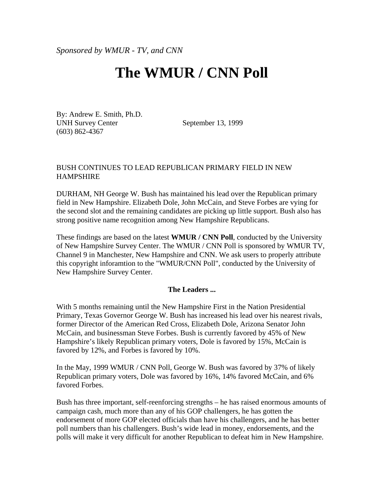*Sponsored by WMUR - TV, and CNN*

# **The WMUR / CNN Poll**

By: Andrew E. Smith, Ph.D. UNH Survey Center (603) 862-4367

September 13, 1999

#### BUSH CONTINUES TO LEAD REPUBLICAN PRIMARY FIELD IN NEW **HAMPSHIRE**

DURHAM, NH George W. Bush has maintained his lead over the Republican primary field in New Hampshire. Elizabeth Dole, John McCain, and Steve Forbes are vying for the second slot and the remaining candidates are picking up little support. Bush also has strong positive name recognition among New Hampshire Republicans.

These findings are based on the latest **WMUR / CNN Poll**, conducted by the University of New Hampshire Survey Center. The WMUR / CNN Poll is sponsored by WMUR TV, Channel 9 in Manchester, New Hampshire and CNN. We ask users to properly attribute this copyright inforamtion to the "WMUR/CNN Poll", conducted by the University of New Hampshire Survey Center.

#### **The Leaders ...**

With 5 months remaining until the New Hampshire First in the Nation Presidential Primary, Texas Governor George W. Bush has increased his lead over his nearest rivals, former Director of the American Red Cross, Elizabeth Dole, Arizona Senator John McCain, and businessman Steve Forbes. Bush is currently favored by 45% of New Hampshire's likely Republican primary voters, Dole is favored by 15%, McCain is favored by 12%, and Forbes is favored by 10%.

In the May, 1999 WMUR / CNN Poll, George W. Bush was favored by 37% of likely Republican primary voters, Dole was favored by 16%, 14% favored McCain, and 6% favored Forbes.

Bush has three important, self-reenforcing strengths – he has raised enormous amounts of campaign cash, much more than any of his GOP challengers, he has gotten the endorsement of more GOP elected officials than have his challengers, and he has better poll numbers than his challengers. Bush's wide lead in money, endorsements, and the polls will make it very difficult for another Republican to defeat him in New Hampshire.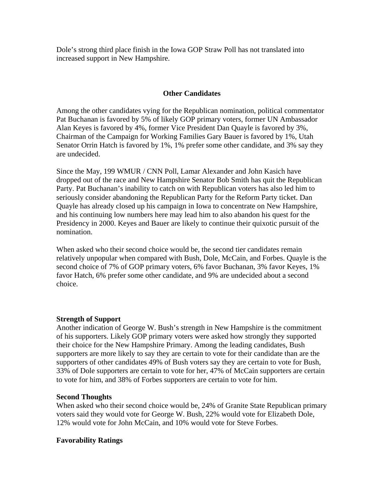Dole's strong third place finish in the Iowa GOP Straw Poll has not translated into increased support in New Hampshire.

### **Other Candidates**

Among the other candidates vying for the Republican nomination, political commentator Pat Buchanan is favored by 5% of likely GOP primary voters, former UN Ambassador Alan Keyes is favored by 4%, former Vice President Dan Quayle is favored by 3%, Chairman of the Campaign for Working Families Gary Bauer is favored by 1%, Utah Senator Orrin Hatch is favored by 1%, 1% prefer some other candidate, and 3% say they are undecided.

Since the May, 199 WMUR / CNN Poll, Lamar Alexander and John Kasich have dropped out of the race and New Hampshire Senator Bob Smith has quit the Republican Party. Pat Buchanan's inability to catch on with Republican voters has also led him to seriously consider abandoning the Republican Party for the Reform Party ticket. Dan Quayle has already closed up his campaign in Iowa to concentrate on New Hampshire, and his continuing low numbers here may lead him to also abandon his quest for the Presidency in 2000. Keyes and Bauer are likely to continue their quixotic pursuit of the nomination.

When asked who their second choice would be, the second tier candidates remain relatively unpopular when compared with Bush, Dole, McCain, and Forbes. Quayle is the second choice of 7% of GOP primary voters, 6% favor Buchanan, 3% favor Keyes, 1% favor Hatch, 6% prefer some other candidate, and 9% are undecided about a second choice.

#### **Strength of Support**

Another indication of George W. Bush's strength in New Hampshire is the commitment of his supporters. Likely GOP primary voters were asked how strongly they supported their choice for the New Hampshire Primary. Among the leading candidates, Bush supporters are more likely to say they are certain to vote for their candidate than are the supporters of other candidates 49% of Bush voters say they are certain to vote for Bush, 33% of Dole supporters are certain to vote for her, 47% of McCain supporters are certain to vote for him, and 38% of Forbes supporters are certain to vote for him.

#### **Second Thoughts**

When asked who their second choice would be, 24% of Granite State Republican primary voters said they would vote for George W. Bush, 22% would vote for Elizabeth Dole, 12% would vote for John McCain, and 10% would vote for Steve Forbes.

#### **Favorability Ratings**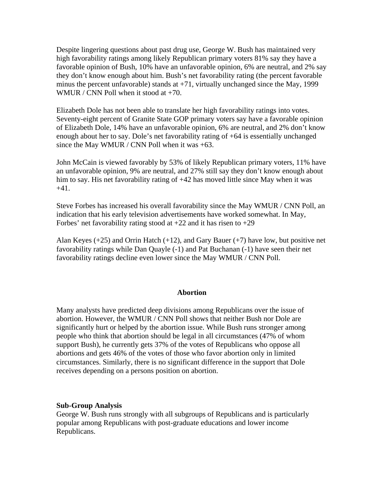Despite lingering questions about past drug use, George W. Bush has maintained very high favorability ratings among likely Republican primary voters 81% say they have a favorable opinion of Bush, 10% have an unfavorable opinion, 6% are neutral, and 2% say they don't know enough about him. Bush's net favorability rating (the percent favorable minus the percent unfavorable) stands at +71, virtually unchanged since the May, 1999 WMUR / CNN Poll when it stood at +70.

Elizabeth Dole has not been able to translate her high favorability ratings into votes. Seventy-eight percent of Granite State GOP primary voters say have a favorable opinion of Elizabeth Dole, 14% have an unfavorable opinion, 6% are neutral, and 2% don't know enough about her to say. Dole's net favorability rating of +64 is essentially unchanged since the May WMUR / CNN Poll when it was +63.

John McCain is viewed favorably by 53% of likely Republican primary voters, 11% have an unfavorable opinion, 9% are neutral, and 27% still say they don't know enough about him to say. His net favorability rating of  $+42$  has moved little since May when it was  $+41.$ 

Steve Forbes has increased his overall favorability since the May WMUR / CNN Poll, an indication that his early television advertisements have worked somewhat. In May, Forbes' net favorability rating stood at  $+22$  and it has risen to  $+29$ 

Alan Keyes (+25) and Orrin Hatch (+12), and Gary Bauer (+7) have low, but positive net favorability ratings while Dan Quayle (-1) and Pat Buchanan (-1) have seen their net favorability ratings decline even lower since the May WMUR / CNN Poll.

#### **Abortion**

Many analysts have predicted deep divisions among Republicans over the issue of abortion. However, the WMUR / CNN Poll shows that neither Bush nor Dole are significantly hurt or helped by the abortion issue. While Bush runs stronger among people who think that abortion should be legal in all circumstances (47% of whom support Bush), he currently gets 37% of the votes of Republicans who oppose all abortions and gets 46% of the votes of those who favor abortion only in limited circumstances. Similarly, there is no significant difference in the support that Dole receives depending on a persons position on abortion.

#### **Sub-Group Analysis**

George W. Bush runs strongly with all subgroups of Republicans and is particularly popular among Republicans with post-graduate educations and lower income Republicans.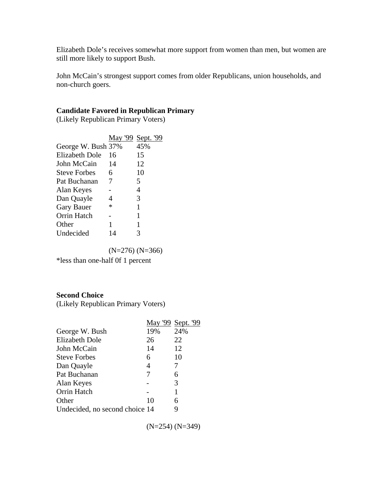Elizabeth Dole's receives somewhat more support from women than men, but women are still more likely to support Bush.

John McCain's strongest support comes from older Republicans, union households, and non-church goers.

## **Candidate Favored in Republican Primary**

(Likely Republican Primary Voters)

|                     | May '99 Sept. '99 |     |
|---------------------|-------------------|-----|
| George W. Bush 37%  |                   | 45% |
| Elizabeth Dole      | 16                | 15  |
| John McCain         | 14                | 12  |
| <b>Steve Forbes</b> | 6                 | 10  |
| Pat Buchanan        | 7                 | 5   |
| Alan Keyes          |                   | 4   |
| Dan Quayle          | Δ                 | 3   |
| <b>Gary Bauer</b>   | *                 | 1   |
| Orrin Hatch         |                   | 1   |
| Other               | 1                 | 1   |
| <b>Undecided</b>    | 14                |     |

(N=276) (N=366)

\*less than one-half 0f 1 percent

#### **Second Choice**

(Likely Republican Primary Voters)

|                                |     | May '99 Sept. '99 |
|--------------------------------|-----|-------------------|
| George W. Bush                 | 19% | 24%               |
| <b>Elizabeth Dole</b>          | 26  | 22                |
| John McCain                    | 14  | 12                |
| <b>Steve Forbes</b>            | 6   | 10                |
| Dan Quayle                     | 4   | 7                 |
| Pat Buchanan                   |     | 6                 |
| Alan Keyes                     |     | 3                 |
| Orrin Hatch                    |     |                   |
| Other                          | 10  | 6                 |
| Undecided, no second choice 14 |     |                   |

(N=254) (N=349)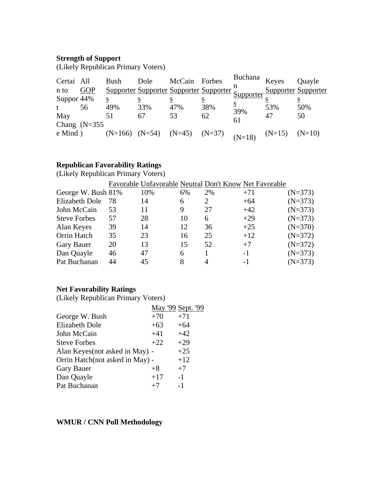# **Strength of Support**

(Likely Republican Primary Voters)

| Certai All<br>n to<br>Suppor 44%<br>t | <b>GOP</b>            | Bush<br>S<br>49% | Dole<br>S<br>33%                              | McCain Forbes<br>47% | <u>s</u><br>38% | Buchana<br>Supporter Supporter Supporter Supporter Supporter<br>$\overline{\mathbf{S}}$ | Keyes<br><b>Supporter Supporter</b><br>53% | Quayle<br>50% |
|---------------------------------------|-----------------------|------------------|-----------------------------------------------|----------------------|-----------------|-----------------------------------------------------------------------------------------|--------------------------------------------|---------------|
| May                                   | 56<br>Chang $(N=355)$ | 51               | 67                                            | 53                   | 62              | 39%<br>61                                                                               | 47                                         | 50            |
| $e$ Mind $)$                          |                       |                  | $(N=166)$ $(N=54)$ $(N=45)$ $(N=37)$ $(N=18)$ |                      |                 |                                                                                         | $(N=15)$                                   | $(N=10)$      |

# **Republican Favorability Ratings**

(Likely Republican Primary Voters)

|                       |    |     |    |    | Favorable Unfavorable Neutral Don't Know Net Favorable |           |
|-----------------------|----|-----|----|----|--------------------------------------------------------|-----------|
| George W. Bush 81%    |    | 10% | 6% | 2% | $+71$                                                  | $(N=373)$ |
| <b>Elizabeth Dole</b> | 78 | 14  | 6  | 2  | $+64$                                                  | $(N=373)$ |
| John McCain           | 53 | 11  | 9  | 27 | $+42$                                                  | $(N=373)$ |
| <b>Steve Forbes</b>   | 57 | 28  | 10 | 6  | $+29$                                                  | $(N=373)$ |
| Alan Keyes            | 39 | 14  | 12 | 36 | $+25$                                                  | $(N=370)$ |
| Orrin Hatch           | 35 | 23  | 16 | 25 | $+12$                                                  | $(N=372)$ |
| Gary Bauer            | 20 | 13  | 15 | 52 | $+7$                                                   | $(N=372)$ |
| Dan Quayle            | 46 | 47  | 6  |    | $-1$                                                   | $(N=373)$ |
| Pat Buchanan          | 44 | 45  | 8  |    | -1                                                     | $(N=373)$ |

# **Net Favorability Ratings**

(Likely Republican Primary Voters)

|                                 |       | May '99 Sept. '99 |
|---------------------------------|-------|-------------------|
| George W. Bush                  | $+70$ | $+71$             |
| <b>Elizabeth Dole</b>           | $+63$ | $+64$             |
| John McCain                     | $+41$ | $+42$             |
| <b>Steve Forbes</b>             | $+22$ | $+29$             |
| Alan Keyes (not asked in May) - |       | $+25$             |
| Orrin Hatch(not asked in May) - |       | $+12$             |
| <b>Gary Bauer</b>               | $+8$  | $+7$              |
| Dan Quayle                      | $+17$ | $-1$              |
| Pat Buchanan                    | $+7$  | $-1$              |

# **WMUR / CNN Poll Methodology**